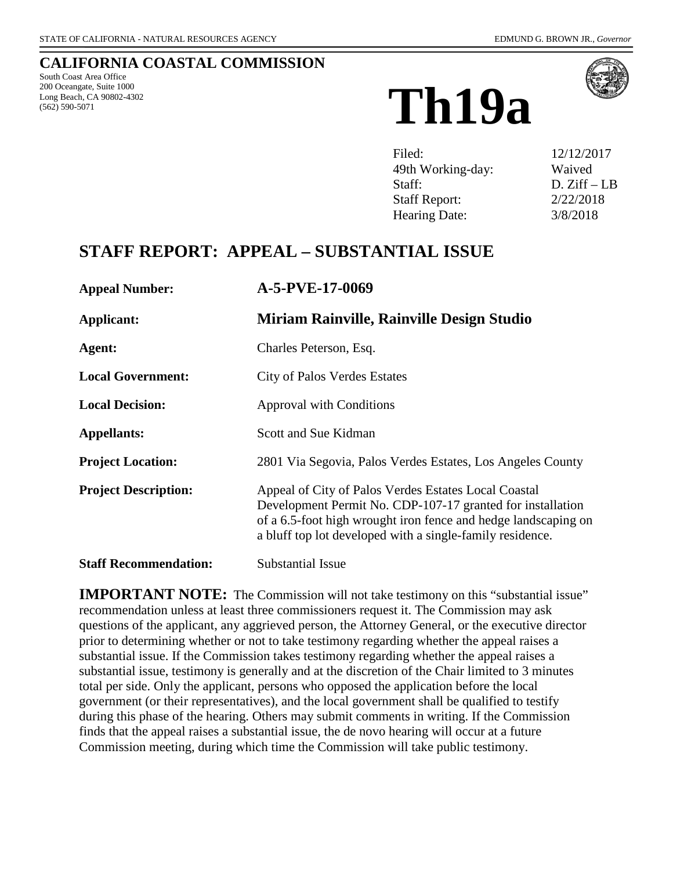# **CALIFORNIA COASTAL COMMISSION**

South Coast Area Office 200 Oceangate, Suite 1000 Long Beach, CA 90802-4302





| Filed:               | 12/12/2017   |
|----------------------|--------------|
| 49th Working-day:    | Waived       |
| Staff:               | $D. Ziff-LB$ |
| <b>Staff Report:</b> | 2/22/2018    |
| Hearing Date:        | 3/8/2018     |

# **STAFF REPORT: APPEAL – SUBSTANTIAL ISSUE**

| <b>Appeal Number:</b>        | A-5-PVE-17-0069                                                                                                                                                                                                                                   |
|------------------------------|---------------------------------------------------------------------------------------------------------------------------------------------------------------------------------------------------------------------------------------------------|
| Applicant:                   | Miriam Rainville, Rainville Design Studio                                                                                                                                                                                                         |
| Agent:                       | Charles Peterson, Esq.                                                                                                                                                                                                                            |
| <b>Local Government:</b>     | <b>City of Palos Verdes Estates</b>                                                                                                                                                                                                               |
| <b>Local Decision:</b>       | <b>Approval with Conditions</b>                                                                                                                                                                                                                   |
| <b>Appellants:</b>           | Scott and Sue Kidman                                                                                                                                                                                                                              |
| <b>Project Location:</b>     | 2801 Via Segovia, Palos Verdes Estates, Los Angeles County                                                                                                                                                                                        |
| <b>Project Description:</b>  | Appeal of City of Palos Verdes Estates Local Coastal<br>Development Permit No. CDP-107-17 granted for installation<br>of a 6.5-foot high wrought iron fence and hedge landscaping on<br>a bluff top lot developed with a single-family residence. |
| <b>Staff Recommendation:</b> | <b>Substantial Issue</b>                                                                                                                                                                                                                          |

**IMPORTANT NOTE:** The Commission will not take testimony on this "substantial issue" recommendation unless at least three commissioners request it. The Commission may ask questions of the applicant, any aggrieved person, the Attorney General, or the executive director prior to determining whether or not to take testimony regarding whether the appeal raises a substantial issue. If the Commission takes testimony regarding whether the appeal raises a substantial issue, testimony is generally and at the discretion of the Chair limited to 3 minutes total per side. Only the applicant, persons who opposed the application before the local government (or their representatives), and the local government shall be qualified to testify during this phase of the hearing. Others may submit comments in writing. If the Commission finds that the appeal raises a substantial issue, the de novo hearing will occur at a future Commission meeting, during which time the Commission will take public testimony.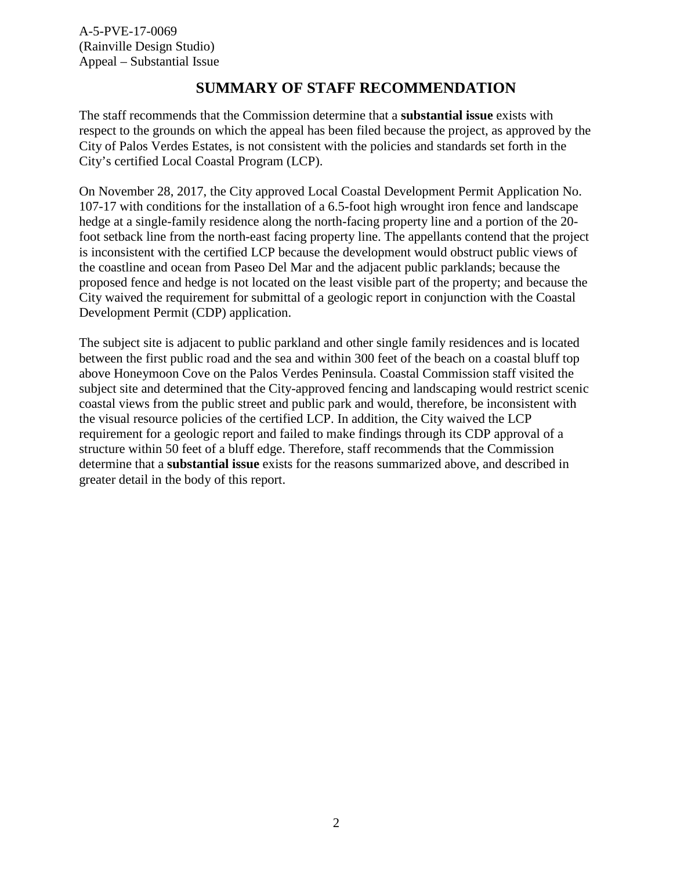### **SUMMARY OF STAFF RECOMMENDATION**

The staff recommends that the Commission determine that a **substantial issue** exists with respect to the grounds on which the appeal has been filed because the project, as approved by the City of Palos Verdes Estates, is not consistent with the policies and standards set forth in the City's certified Local Coastal Program (LCP).

On November 28, 2017, the City approved Local Coastal Development Permit Application No. 107-17 with conditions for the installation of a 6.5-foot high wrought iron fence and landscape hedge at a single-family residence along the north-facing property line and a portion of the 20 foot setback line from the north-east facing property line. The appellants contend that the project is inconsistent with the certified LCP because the development would obstruct public views of the coastline and ocean from Paseo Del Mar and the adjacent public parklands; because the proposed fence and hedge is not located on the least visible part of the property; and because the City waived the requirement for submittal of a geologic report in conjunction with the Coastal Development Permit (CDP) application.

The subject site is adjacent to public parkland and other single family residences and is located between the first public road and the sea and within 300 feet of the beach on a coastal bluff top above Honeymoon Cove on the Palos Verdes Peninsula. Coastal Commission staff visited the subject site and determined that the City-approved fencing and landscaping would restrict scenic coastal views from the public street and public park and would, therefore, be inconsistent with the visual resource policies of the certified LCP. In addition, the City waived the LCP requirement for a geologic report and failed to make findings through its CDP approval of a structure within 50 feet of a bluff edge. Therefore, staff recommends that the Commission determine that a **substantial issue** exists for the reasons summarized above, and described in greater detail in the body of this report.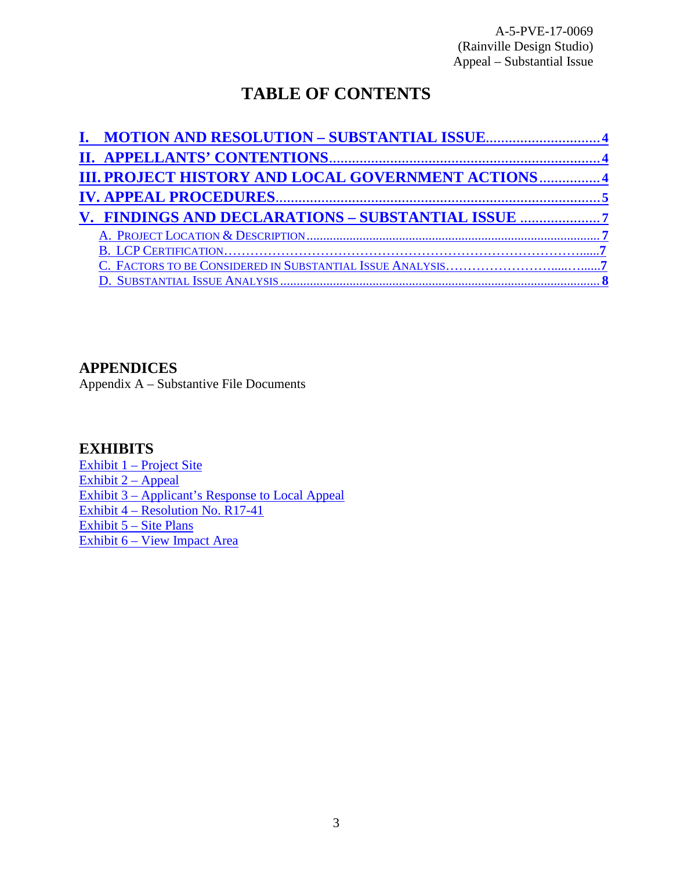# **TABLE OF CONTENTS**

| I. MOTION AND RESOLUTION - SUBSTANTIAL ISSUE4               |
|-------------------------------------------------------------|
|                                                             |
| <b>III. PROJECT HISTORY AND LOCAL GOVERNMENT ACTIONS  4</b> |
|                                                             |
| V. FINDINGS AND DECLARATIONS - SUBSTANTIAL ISSUE            |
|                                                             |
|                                                             |
|                                                             |
|                                                             |

### **APPENDICES**

Appendix A – Substantive File Documents

### **EXHIBITS**

[Exhibit 1 – Project Site](https://documents.coastal.ca.gov/reports/2018/3/Th19a/Th19a-3-2018-exhibits.pdf) Exhibit  $2 -$  Appeal [Exhibit 3 – Applicant's Response to Local Appeal](https://documents.coastal.ca.gov/reports/2018/3/Th19a/Th19a-3-2018-exhibits.pdf)  [Exhibit 4 – Resolution No. R17-41](https://documents.coastal.ca.gov/reports/2018/3/Th19a/Th19a-3-2018-exhibits.pdf)  [Exhibit 5 – Site Plans](https://documents.coastal.ca.gov/reports/2018/3/Th19a/Th19a-3-2018-exhibits.pdf) [Exhibit 6 – View Impact Area](https://documents.coastal.ca.gov/reports/2018/3/Th19a/Th19a-3-2018-exhibits.pdf)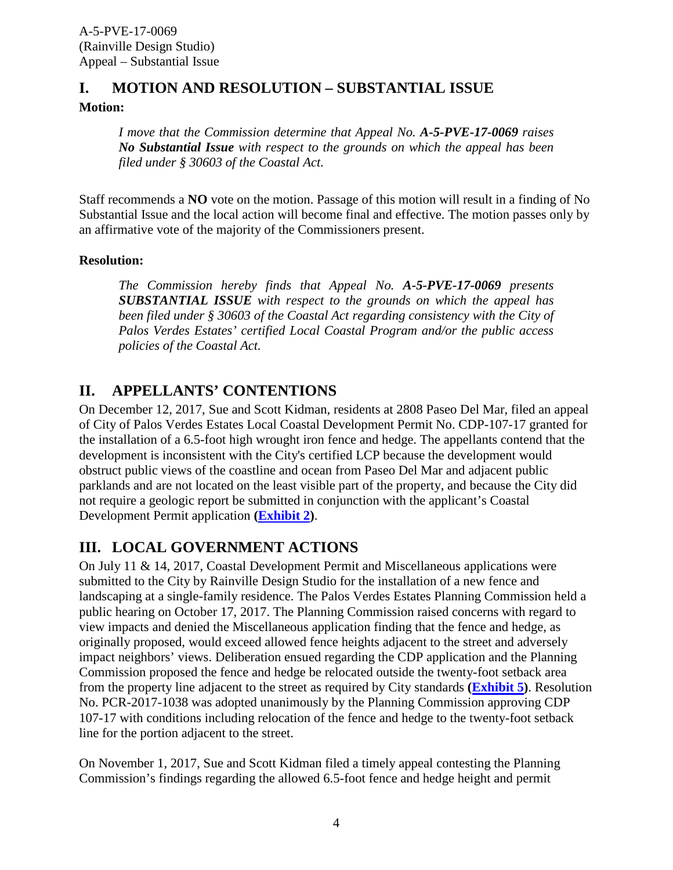## <span id="page-3-0"></span>**I. MOTION AND RESOLUTION – SUBSTANTIAL ISSUE**

**Motion:**

*I move that the Commission determine that Appeal No. A-5-PVE-17-0069 raises No Substantial Issue with respect to the grounds on which the appeal has been filed under § 30603 of the Coastal Act.*

Staff recommends a **NO** vote on the motion. Passage of this motion will result in a finding of No Substantial Issue and the local action will become final and effective. The motion passes only by an affirmative vote of the majority of the Commissioners present.

### **Resolution:**

*The Commission hereby finds that Appeal No. A-5-PVE-17-0069 presents SUBSTANTIAL ISSUE with respect to the grounds on which the appeal has been filed under § 30603 of the Coastal Act regarding consistency with the City of Palos Verdes Estates' certified Local Coastal Program and/or the public access policies of the Coastal Act.*

## <span id="page-3-1"></span>**II. APPELLANTS' CONTENTIONS**

On December 12, 2017, Sue and Scott Kidman, residents at 2808 Paseo Del Mar, filed an appeal of City of Palos Verdes Estates Local Coastal Development Permit No. CDP-107-17 granted for the installation of a 6.5-foot high wrought iron fence and hedge. The appellants contend that the development is inconsistent with the City's certified LCP because the development would obstruct public views of the coastline and ocean from Paseo Del Mar and adjacent public parklands and are not located on the least visible part of the property, and because the City did not require a geologic report be submitted in conjunction with the applicant's Coastal Development Permit application **[\(Exhibit 2\)](https://documents.coastal.ca.gov/reports/2018/3/Th19a/Th19a-3-2018-exhibits.pdf)**.

### <span id="page-3-2"></span>**III. LOCAL GOVERNMENT ACTIONS**

On July 11 & 14, 2017, Coastal Development Permit and Miscellaneous applications were submitted to the City by Rainville Design Studio for the installation of a new fence and landscaping at a single-family residence. The Palos Verdes Estates Planning Commission held a public hearing on October 17, 2017. The Planning Commission raised concerns with regard to view impacts and denied the Miscellaneous application finding that the fence and hedge, as originally proposed, would exceed allowed fence heights adjacent to the street and adversely impact neighbors' views. Deliberation ensued regarding the CDP application and the Planning Commission proposed the fence and hedge be relocated outside the twenty-foot setback area from the property line adjacent to the street as required by City standards **[\(Exhibit 5\)](https://documents.coastal.ca.gov/reports/2018/3/Th19a/Th19a-3-2018-exhibits.pdf)**. Resolution No. PCR-2017-1038 was adopted unanimously by the Planning Commission approving CDP 107-17 with conditions including relocation of the fence and hedge to the twenty-foot setback line for the portion adjacent to the street.

On November 1, 2017, Sue and Scott Kidman filed a timely appeal contesting the Planning Commission's findings regarding the allowed 6.5-foot fence and hedge height and permit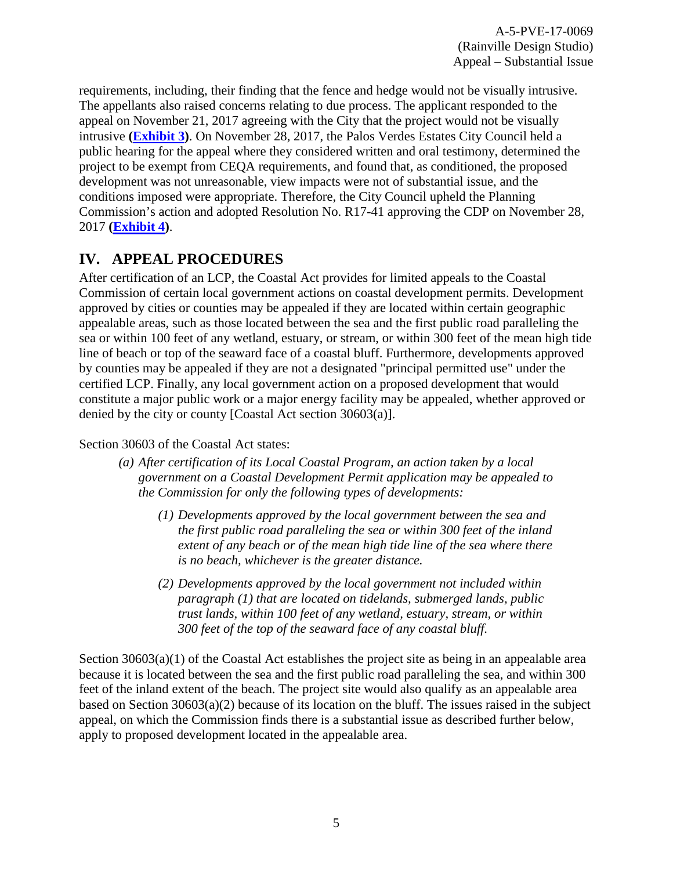requirements, including, their finding that the fence and hedge would not be visually intrusive. The appellants also raised concerns relating to due process. The applicant responded to the appeal on November 21, 2017 agreeing with the City that the project would not be visually intrusive **[\(Exhibit 3\)](https://documents.coastal.ca.gov/reports/2018/3/Th19a/Th19a-3-2018-exhibits.pdf)**. On November 28, 2017, the Palos Verdes Estates City Council held a public hearing for the appeal where they considered written and oral testimony, determined the project to be exempt from CEQA requirements, and found that, as conditioned, the proposed development was not unreasonable, view impacts were not of substantial issue, and the conditions imposed were appropriate. Therefore, the City Council upheld the Planning Commission's action and adopted Resolution No. R17-41 approving the CDP on November 28, 2017 **[\(Exhibit 4\)](https://documents.coastal.ca.gov/reports/2018/3/Th19a/Th19a-3-2018-exhibits.pdf)**.

## <span id="page-4-0"></span>**IV. APPEAL PROCEDURES**

After certification of an LCP, the Coastal Act provides for limited appeals to the Coastal Commission of certain local government actions on coastal development permits. Development approved by cities or counties may be appealed if they are located within certain geographic appealable areas, such as those located between the sea and the first public road paralleling the sea or within 100 feet of any wetland, estuary, or stream, or within 300 feet of the mean high tide line of beach or top of the seaward face of a coastal bluff. Furthermore, developments approved by counties may be appealed if they are not a designated "principal permitted use" under the certified LCP. Finally, any local government action on a proposed development that would constitute a major public work or a major energy facility may be appealed, whether approved or denied by the city or county [Coastal Act section 30603(a)].

### Section 30603 of the Coastal Act states:

- *(a) After certification of its Local Coastal Program, an action taken by a local government on a Coastal Development Permit application may be appealed to the Commission for only the following types of developments:* 
	- *(1) Developments approved by the local government between the sea and the first public road paralleling the sea or within 300 feet of the inland extent of any beach or of the mean high tide line of the sea where there is no beach, whichever is the greater distance.*
	- *(2) Developments approved by the local government not included within paragraph (1) that are located on tidelands, submerged lands, public trust lands, within 100 feet of any wetland, estuary, stream, or within 300 feet of the top of the seaward face of any coastal bluff.*

Section  $30603(a)(1)$  of the Coastal Act establishes the project site as being in an appealable area because it is located between the sea and the first public road paralleling the sea, and within 300 feet of the inland extent of the beach. The project site would also qualify as an appealable area based on Section 30603(a)(2) because of its location on the bluff. The issues raised in the subject appeal, on which the Commission finds there is a substantial issue as described further below, apply to proposed development located in the appealable area.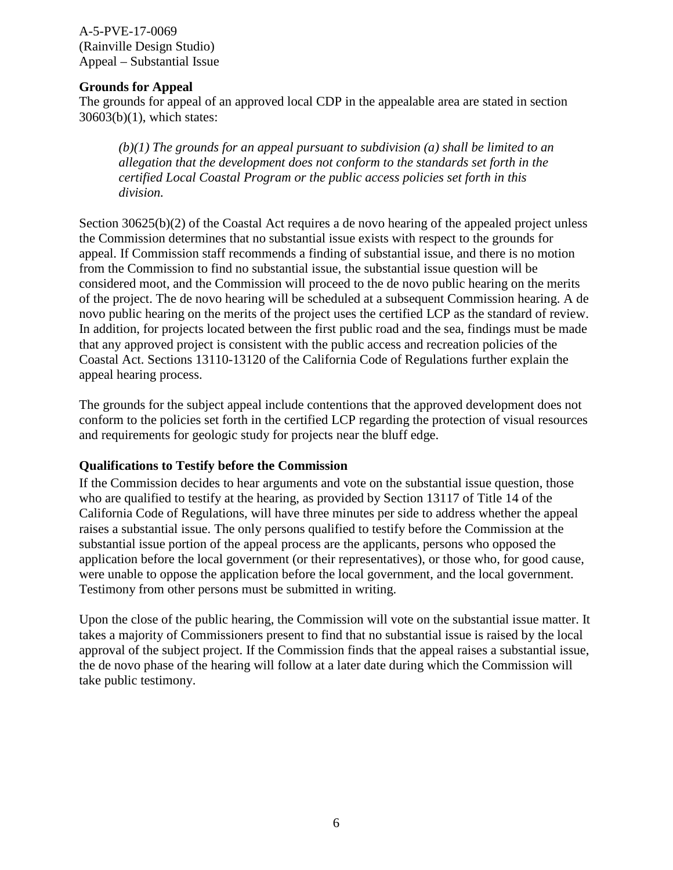#### **Grounds for Appeal**

The grounds for appeal of an approved local CDP in the appealable area are stated in section 30603(b)(1), which states:

*(b)(1) The grounds for an appeal pursuant to subdivision (a) shall be limited to an allegation that the development does not conform to the standards set forth in the certified Local Coastal Program or the public access policies set forth in this division.* 

Section 30625(b)(2) of the Coastal Act requires a de novo hearing of the appealed project unless the Commission determines that no substantial issue exists with respect to the grounds for appeal. If Commission staff recommends a finding of substantial issue, and there is no motion from the Commission to find no substantial issue, the substantial issue question will be considered moot, and the Commission will proceed to the de novo public hearing on the merits of the project. The de novo hearing will be scheduled at a subsequent Commission hearing. A de novo public hearing on the merits of the project uses the certified LCP as the standard of review. In addition, for projects located between the first public road and the sea, findings must be made that any approved project is consistent with the public access and recreation policies of the Coastal Act. Sections 13110-13120 of the California Code of Regulations further explain the appeal hearing process.

The grounds for the subject appeal include contentions that the approved development does not conform to the policies set forth in the certified LCP regarding the protection of visual resources and requirements for geologic study for projects near the bluff edge.

#### **Qualifications to Testify before the Commission**

If the Commission decides to hear arguments and vote on the substantial issue question, those who are qualified to testify at the hearing, as provided by Section 13117 of Title 14 of the California Code of Regulations, will have three minutes per side to address whether the appeal raises a substantial issue. The only persons qualified to testify before the Commission at the substantial issue portion of the appeal process are the applicants, persons who opposed the application before the local government (or their representatives), or those who, for good cause, were unable to oppose the application before the local government, and the local government. Testimony from other persons must be submitted in writing.

Upon the close of the public hearing, the Commission will vote on the substantial issue matter. It takes a majority of Commissioners present to find that no substantial issue is raised by the local approval of the subject project. If the Commission finds that the appeal raises a substantial issue, the de novo phase of the hearing will follow at a later date during which the Commission will take public testimony.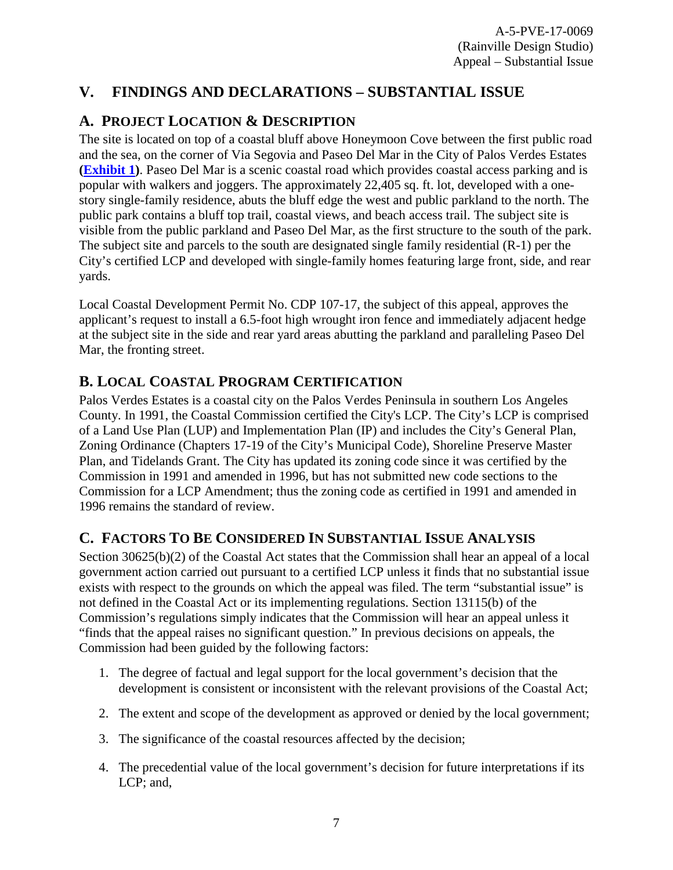# <span id="page-6-0"></span>**V. FINDINGS AND DECLARATIONS – SUBSTANTIAL ISSUE**

## <span id="page-6-1"></span>**A. PROJECT LOCATION & DESCRIPTION**

The site is located on top of a coastal bluff above Honeymoon Cove between the first public road and the sea, on the corner of Via Segovia and Paseo Del Mar in the City of Palos Verdes Estates **[\(Exhibit 1\)](https://documents.coastal.ca.gov/reports/2018/3/Th19a/Th19a-3-2018-exhibits.pdf)**. Paseo Del Mar is a scenic coastal road which provides coastal access parking and is popular with walkers and joggers. The approximately 22,405 sq. ft. lot, developed with a onestory single-family residence, abuts the bluff edge the west and public parkland to the north. The public park contains a bluff top trail, coastal views, and beach access trail. The subject site is visible from the public parkland and Paseo Del Mar, as the first structure to the south of the park. The subject site and parcels to the south are designated single family residential (R-1) per the City's certified LCP and developed with single-family homes featuring large front, side, and rear yards.

Local Coastal Development Permit No. CDP 107-17, the subject of this appeal, approves the applicant's request to install a 6.5-foot high wrought iron fence and immediately adjacent hedge at the subject site in the side and rear yard areas abutting the parkland and paralleling Paseo Del Mar, the fronting street.

### <span id="page-6-2"></span>**B. LOCAL COASTAL PROGRAM CERTIFICATION**

Palos Verdes Estates is a coastal city on the Palos Verdes Peninsula in southern Los Angeles County. In 1991, the Coastal Commission certified the City's LCP. The City's LCP is comprised of a Land Use Plan (LUP) and Implementation Plan (IP) and includes the City's General Plan, Zoning Ordinance (Chapters 17-19 of the City's Municipal Code), Shoreline Preserve Master Plan, and Tidelands Grant. The City has updated its zoning code since it was certified by the Commission in 1991 and amended in 1996, but has not submitted new code sections to the Commission for a LCP Amendment; thus the zoning code as certified in 1991 and amended in 1996 remains the standard of review.

# **C. FACTORS TO BE CONSIDERED IN SUBSTANTIAL ISSUE ANALYSIS**

Section 30625(b)(2) of the Coastal Act states that the Commission shall hear an appeal of a local government action carried out pursuant to a certified LCP unless it finds that no substantial issue exists with respect to the grounds on which the appeal was filed. The term "substantial issue" is not defined in the Coastal Act or its implementing regulations. Section 13115(b) of the Commission's regulations simply indicates that the Commission will hear an appeal unless it "finds that the appeal raises no significant question." In previous decisions on appeals, the Commission had been guided by the following factors:

- 1. The degree of factual and legal support for the local government's decision that the development is consistent or inconsistent with the relevant provisions of the Coastal Act;
- 2. The extent and scope of the development as approved or denied by the local government;
- 3. The significance of the coastal resources affected by the decision;
- 4. The precedential value of the local government's decision for future interpretations if its LCP; and,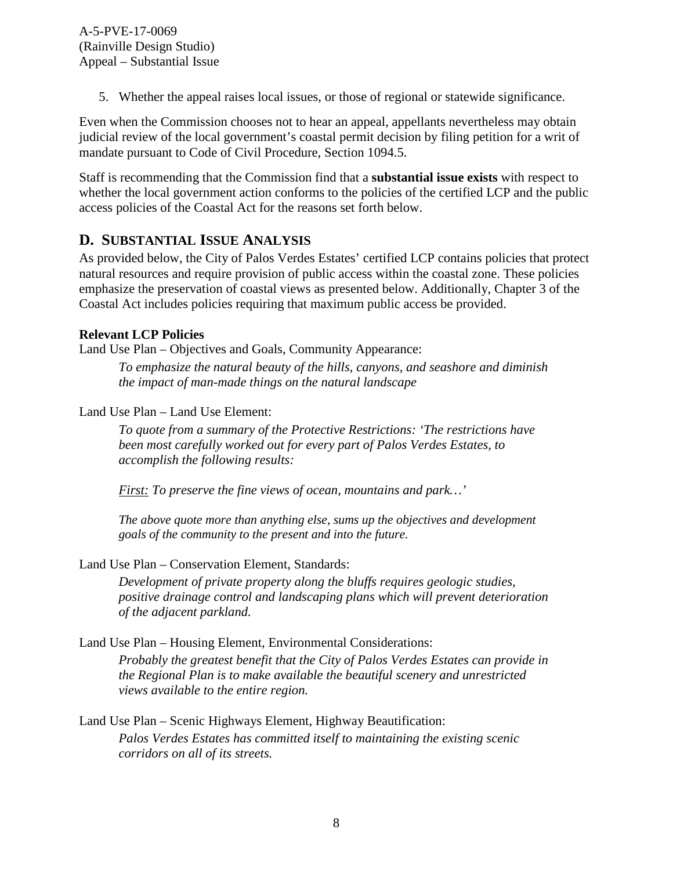5. Whether the appeal raises local issues, or those of regional or statewide significance.

Even when the Commission chooses not to hear an appeal, appellants nevertheless may obtain judicial review of the local government's coastal permit decision by filing petition for a writ of mandate pursuant to Code of Civil Procedure, Section 1094.5.

Staff is recommending that the Commission find that a **substantial issue exists** with respect to whether the local government action conforms to the policies of the certified LCP and the public access policies of the Coastal Act for the reasons set forth below.

### <span id="page-7-0"></span>**D. SUBSTANTIAL ISSUE ANALYSIS**

As provided below, the City of Palos Verdes Estates' certified LCP contains policies that protect natural resources and require provision of public access within the coastal zone. These policies emphasize the preservation of coastal views as presented below. Additionally, Chapter 3 of the Coastal Act includes policies requiring that maximum public access be provided.

#### **Relevant LCP Policies**

Land Use Plan – Objectives and Goals, Community Appearance:

*To emphasize the natural beauty of the hills, canyons, and seashore and diminish the impact of man-made things on the natural landscape* 

Land Use Plan – Land Use Element:

*To quote from a summary of the Protective Restrictions: 'The restrictions have been most carefully worked out for every part of Palos Verdes Estates, to accomplish the following results:* 

*First: To preserve the fine views of ocean, mountains and park…'* 

*The above quote more than anything else, sums up the objectives and development goals of the community to the present and into the future.* 

Land Use Plan – Conservation Element, Standards:

*Development of private property along the bluffs requires geologic studies, positive drainage control and landscaping plans which will prevent deterioration of the adjacent parkland.*

Land Use Plan – Housing Element, Environmental Considerations:

*Probably the greatest benefit that the City of Palos Verdes Estates can provide in the Regional Plan is to make available the beautiful scenery and unrestricted views available to the entire region.*

Land Use Plan – Scenic Highways Element, Highway Beautification: *Palos Verdes Estates has committed itself to maintaining the existing scenic corridors on all of its streets.*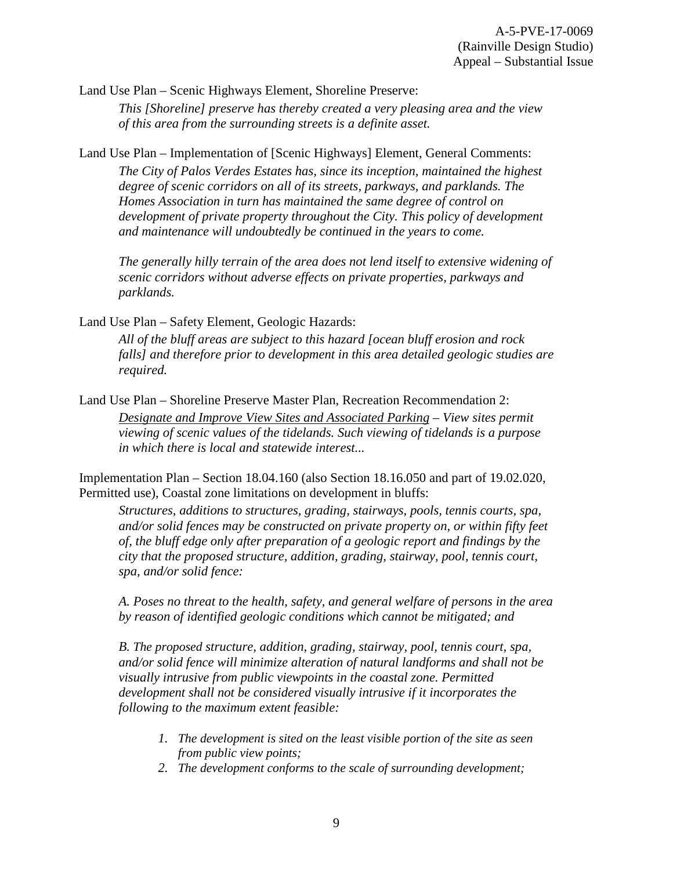Land Use Plan – Scenic Highways Element, Shoreline Preserve:

*This [Shoreline] preserve has thereby created a very pleasing area and the view of this area from the surrounding streets is a definite asset.* 

Land Use Plan – Implementation of [Scenic Highways] Element, General Comments:

*The City of Palos Verdes Estates has, since its inception, maintained the highest degree of scenic corridors on all of its streets, parkways, and parklands. The Homes Association in turn has maintained the same degree of control on development of private property throughout the City. This policy of development and maintenance will undoubtedly be continued in the years to come.* 

*The generally hilly terrain of the area does not lend itself to extensive widening of scenic corridors without adverse effects on private properties, parkways and parklands.*

Land Use Plan – Safety Element, Geologic Hazards:

*All of the bluff areas are subject to this hazard [ocean bluff erosion and rock falls] and therefore prior to development in this area detailed geologic studies are required.* 

Land Use Plan – Shoreline Preserve Master Plan, Recreation Recommendation 2:

*Designate and Improve View Sites and Associated Parking – View sites permit viewing of scenic values of the tidelands. Such viewing of tidelands is a purpose in which there is local and statewide interest...* 

Implementation Plan – Section 18.04.160 (also Section 18.16.050 and part of 19.02.020, Permitted use), Coastal zone limitations on development in bluffs:

*Structures, additions to structures, grading, stairways, pools, tennis courts, spa, and/or solid fences may be constructed on private property on, or within fifty feet of, the bluff edge only after preparation of a geologic report and findings by the city that the proposed structure, addition, grading, stairway, pool, tennis court, spa, and/or solid fence:* 

*A. Poses no threat to the health, safety, and general welfare of persons in the area by reason of identified geologic conditions which cannot be mitigated; and* 

*B. The proposed structure, addition, grading, stairway, pool, tennis court, spa, and/or solid fence will minimize alteration of natural landforms and shall not be visually intrusive from public viewpoints in the coastal zone. Permitted development shall not be considered visually intrusive if it incorporates the following to the maximum extent feasible:*

- *1. The development is sited on the least visible portion of the site as seen from public view points;*
- *2. The development conforms to the scale of surrounding development;*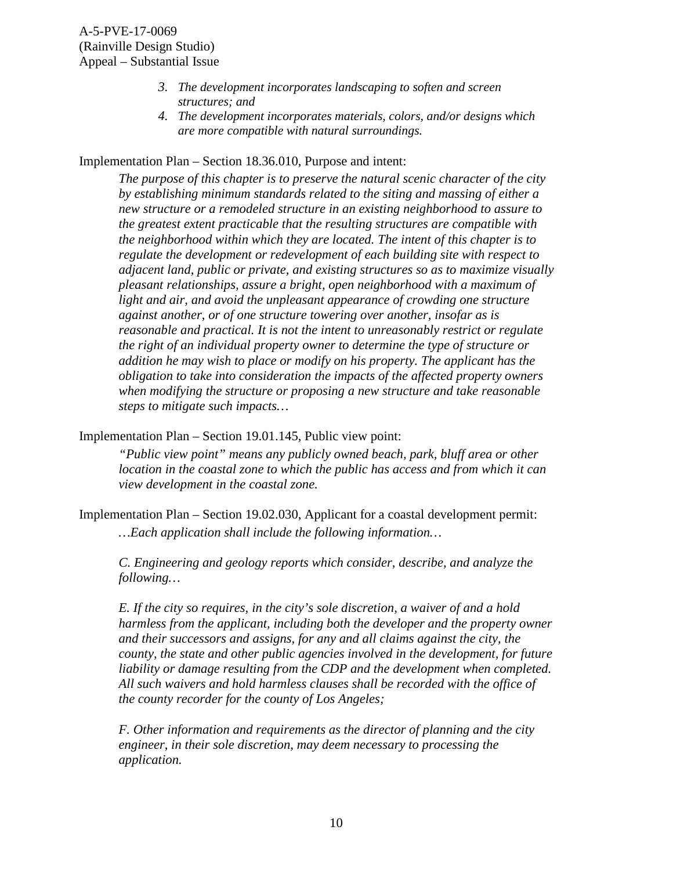- *3. The development incorporates landscaping to soften and screen structures; and*
- *4. The development incorporates materials, colors, and/or designs which are more compatible with natural surroundings.*

Implementation Plan – Section 18.36.010, Purpose and intent:

*The purpose of this chapter is to preserve the natural scenic character of the city by establishing minimum standards related to the siting and massing of either a new structure or a remodeled structure in an existing neighborhood to assure to the greatest extent practicable that the resulting structures are compatible with the neighborhood within which they are located. The intent of this chapter is to regulate the development or redevelopment of each building site with respect to adjacent land, public or private, and existing structures so as to maximize visually pleasant relationships, assure a bright, open neighborhood with a maximum of*  light and air, and avoid the unpleasant appearance of crowding one structure *against another, or of one structure towering over another, insofar as is reasonable and practical. It is not the intent to unreasonably restrict or regulate the right of an individual property owner to determine the type of structure or addition he may wish to place or modify on his property. The applicant has the obligation to take into consideration the impacts of the affected property owners when modifying the structure or proposing a new structure and take reasonable steps to mitigate such impacts…* 

Implementation Plan – Section 19.01.145, Public view point:

*"Public view point" means any publicly owned beach, park, bluff area or other location in the coastal zone to which the public has access and from which it can view development in the coastal zone.* 

Implementation Plan – Section 19.02.030, Applicant for a coastal development permit: *…Each application shall include the following information…* 

*C. Engineering and geology reports which consider, describe, and analyze the following…* 

*E. If the city so requires, in the city's sole discretion, a waiver of and a hold harmless from the applicant, including both the developer and the property owner and their successors and assigns, for any and all claims against the city, the county, the state and other public agencies involved in the development, for future liability or damage resulting from the CDP and the development when completed. All such waivers and hold harmless clauses shall be recorded with the office of the county recorder for the county of Los Angeles;* 

*F. Other information and requirements as the director of planning and the city engineer, in their sole discretion, may deem necessary to processing the application.*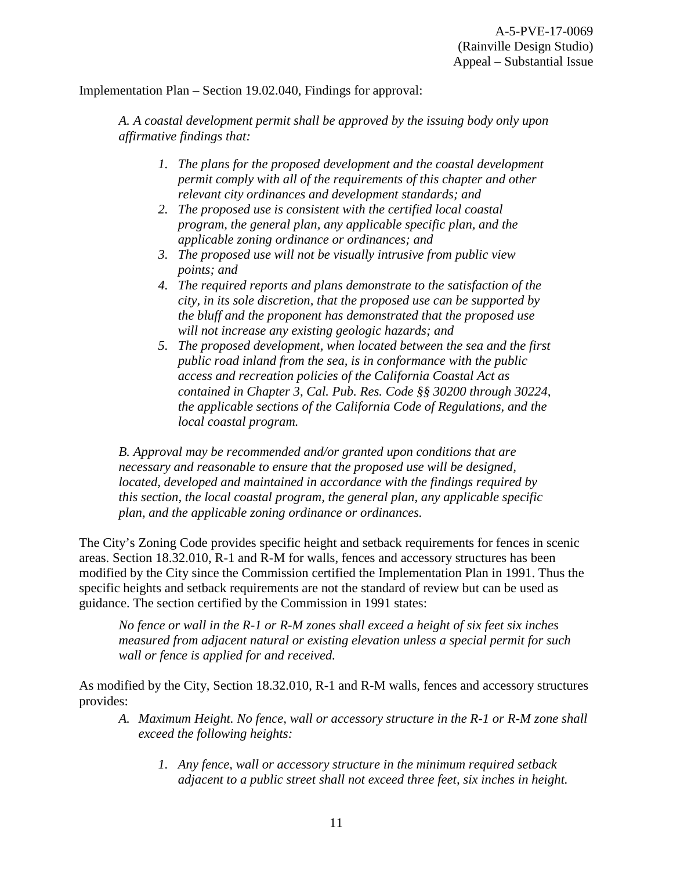Implementation Plan – Section 19.02.040, Findings for approval:

*A. A coastal development permit shall be approved by the issuing body only upon affirmative findings that:*

- *1. The plans for the proposed development and the coastal development permit comply with all of the requirements of this chapter and other relevant city ordinances and development standards; and*
- *2. The proposed use is consistent with the certified local coastal program, the general plan, any applicable specific plan, and the applicable zoning ordinance or ordinances; and*
- *3. The proposed use will not be visually intrusive from public view points; and*
- *4. The required reports and plans demonstrate to the satisfaction of the city, in its sole discretion, that the proposed use can be supported by the bluff and the proponent has demonstrated that the proposed use will not increase any existing geologic hazards; and*
- *5. The proposed development, when located between the sea and the first public road inland from the sea, is in conformance with the public access and recreation policies of the California Coastal Act as contained in Chapter 3, Cal. Pub. Res. Code §§ 30200 through 30224, the applicable sections of the California Code of Regulations, and the local coastal program.*

*B. Approval may be recommended and/or granted upon conditions that are necessary and reasonable to ensure that the proposed use will be designed, located, developed and maintained in accordance with the findings required by this section, the local coastal program, the general plan, any applicable specific plan, and the applicable zoning ordinance or ordinances.* 

The City's Zoning Code provides specific height and setback requirements for fences in scenic areas. Section 18.32.010, R-1 and R-M for walls, fences and accessory structures has been modified by the City since the Commission certified the Implementation Plan in 1991. Thus the specific heights and setback requirements are not the standard of review but can be used as guidance. The section certified by the Commission in 1991 states:

*No fence or wall in the R-1 or R-M zones shall exceed a height of six feet six inches measured from adjacent natural or existing elevation unless a special permit for such wall or fence is applied for and received.* 

As modified by the City, Section 18.32.010, R-1 and R-M walls, fences and accessory structures provides:

- *A. Maximum Height. No fence, wall or accessory structure in the R-1 or R-M zone shall exceed the following heights:* 
	- *1. Any fence, wall or accessory structure in the minimum required setback adjacent to a public street shall not exceed three feet, six inches in height.*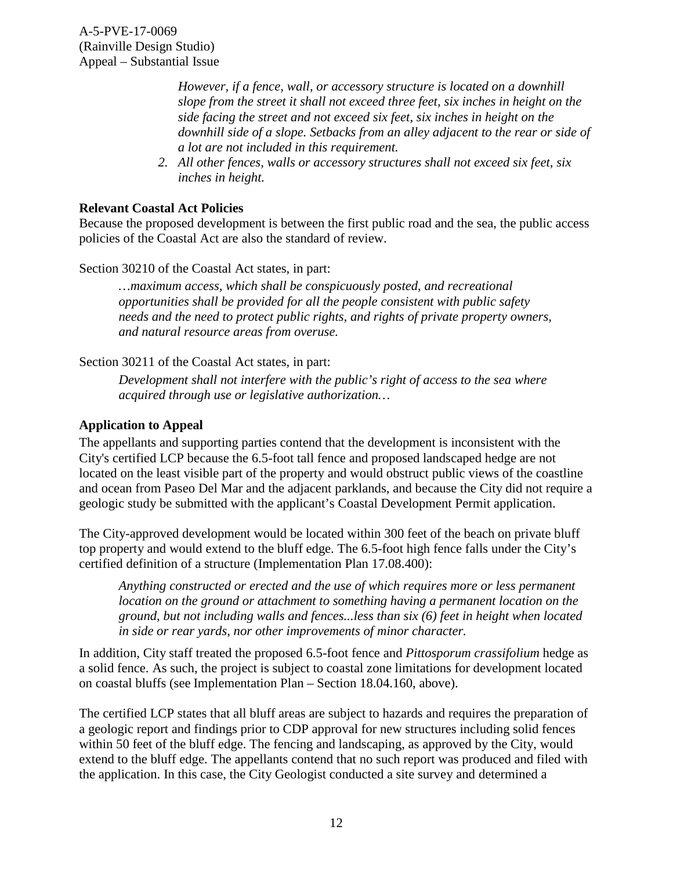> *However, if a fence, wall, or accessory structure is located on a downhill slope from the street it shall not exceed three feet, six inches in height on the side facing the street and not exceed six feet, six inches in height on the downhill side of a slope. Setbacks from an alley adjacent to the rear or side of a lot are not included in this requirement.*

*2. All other fences, walls or accessory structures shall not exceed six feet, six inches in height.* 

#### **Relevant Coastal Act Policies**

Because the proposed development is between the first public road and the sea, the public access policies of the Coastal Act are also the standard of review.

Section 30210 of the Coastal Act states, in part:

*…maximum access, which shall be conspicuously posted, and recreational opportunities shall be provided for all the people consistent with public safety needs and the need to protect public rights, and rights of private property owners, and natural resource areas from overuse.* 

Section 30211 of the Coastal Act states, in part:

*Development shall not interfere with the public's right of access to the sea where acquired through use or legislative authorization…* 

#### **Application to Appeal**

The appellants and supporting parties contend that the development is inconsistent with the City's certified LCP because the 6.5-foot tall fence and proposed landscaped hedge are not located on the least visible part of the property and would obstruct public views of the coastline and ocean from Paseo Del Mar and the adjacent parklands, and because the City did not require a geologic study be submitted with the applicant's Coastal Development Permit application.

The City-approved development would be located within 300 feet of the beach on private bluff top property and would extend to the bluff edge. The 6.5-foot high fence falls under the City's certified definition of a structure (Implementation Plan 17.08.400):

*Anything constructed or erected and the use of which requires more or less permanent location on the ground or attachment to something having a permanent location on the ground, but not including walls and fences...less than six (6) feet in height when located in side or rear yards, nor other improvements of minor character.*

In addition, City staff treated the proposed 6.5-foot fence and *Pittosporum crassifolium* hedge as a solid fence. As such, the project is subject to coastal zone limitations for development located on coastal bluffs (see Implementation Plan – Section 18.04.160, above).

The certified LCP states that all bluff areas are subject to hazards and requires the preparation of a geologic report and findings prior to CDP approval for new structures including solid fences within 50 feet of the bluff edge. The fencing and landscaping, as approved by the City, would extend to the bluff edge. The appellants contend that no such report was produced and filed with the application. In this case, the City Geologist conducted a site survey and determined a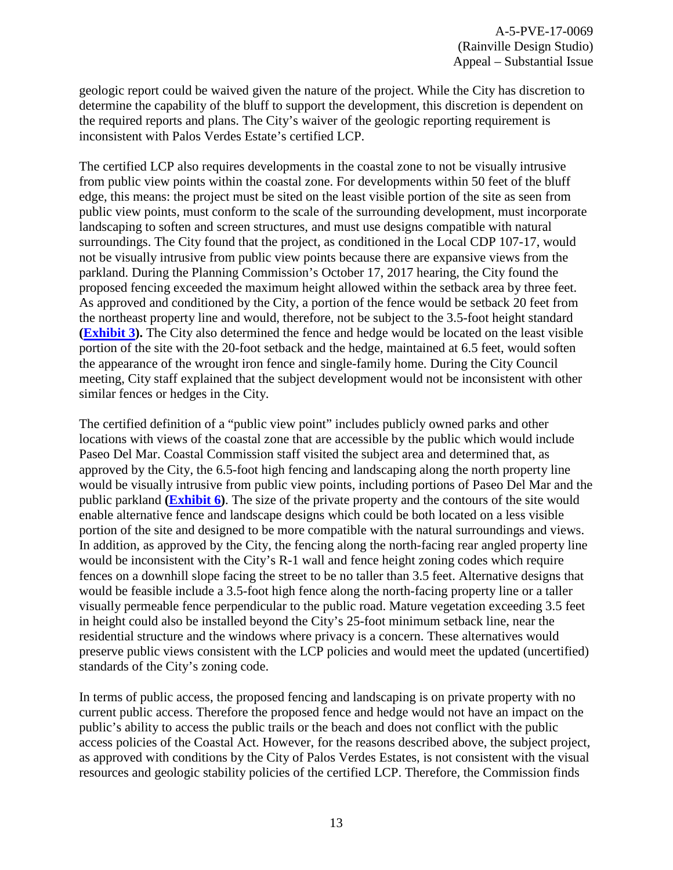geologic report could be waived given the nature of the project. While the City has discretion to determine the capability of the bluff to support the development, this discretion is dependent on the required reports and plans. The City's waiver of the geologic reporting requirement is inconsistent with Palos Verdes Estate's certified LCP.

The certified LCP also requires developments in the coastal zone to not be visually intrusive from public view points within the coastal zone. For developments within 50 feet of the bluff edge, this means: the project must be sited on the least visible portion of the site as seen from public view points, must conform to the scale of the surrounding development, must incorporate landscaping to soften and screen structures, and must use designs compatible with natural surroundings. The City found that the project, as conditioned in the Local CDP 107-17, would not be visually intrusive from public view points because there are expansive views from the parkland. During the Planning Commission's October 17, 2017 hearing, the City found the proposed fencing exceeded the maximum height allowed within the setback area by three feet. As approved and conditioned by the City, a portion of the fence would be setback 20 feet from the northeast property line and would, therefore, not be subject to the 3.5-foot height standard **[\(Exhibit 3\)](https://documents.coastal.ca.gov/reports/2018/3/Th19a/Th19a-3-2018-exhibits.pdf).** The City also determined the fence and hedge would be located on the least visible portion of the site with the 20-foot setback and the hedge, maintained at 6.5 feet, would soften the appearance of the wrought iron fence and single-family home. During the City Council meeting, City staff explained that the subject development would not be inconsistent with other similar fences or hedges in the City.

The certified definition of a "public view point" includes publicly owned parks and other locations with views of the coastal zone that are accessible by the public which would include Paseo Del Mar. Coastal Commission staff visited the subject area and determined that, as approved by the City, the 6.5-foot high fencing and landscaping along the north property line would be visually intrusive from public view points, including portions of Paseo Del Mar and the public parkland **[\(Exhibit 6\)](https://documents.coastal.ca.gov/reports/2018/3/Th19a/Th19a-3-2018-exhibits.pdf)**. The size of the private property and the contours of the site would enable alternative fence and landscape designs which could be both located on a less visible portion of the site and designed to be more compatible with the natural surroundings and views. In addition, as approved by the City, the fencing along the north-facing rear angled property line would be inconsistent with the City's R-1 wall and fence height zoning codes which require fences on a downhill slope facing the street to be no taller than 3.5 feet. Alternative designs that would be feasible include a 3.5-foot high fence along the north-facing property line or a taller visually permeable fence perpendicular to the public road. Mature vegetation exceeding 3.5 feet in height could also be installed beyond the City's 25-foot minimum setback line, near the residential structure and the windows where privacy is a concern. These alternatives would preserve public views consistent with the LCP policies and would meet the updated (uncertified) standards of the City's zoning code.

In terms of public access, the proposed fencing and landscaping is on private property with no current public access. Therefore the proposed fence and hedge would not have an impact on the public's ability to access the public trails or the beach and does not conflict with the public access policies of the Coastal Act. However, for the reasons described above, the subject project, as approved with conditions by the City of Palos Verdes Estates, is not consistent with the visual resources and geologic stability policies of the certified LCP. Therefore, the Commission finds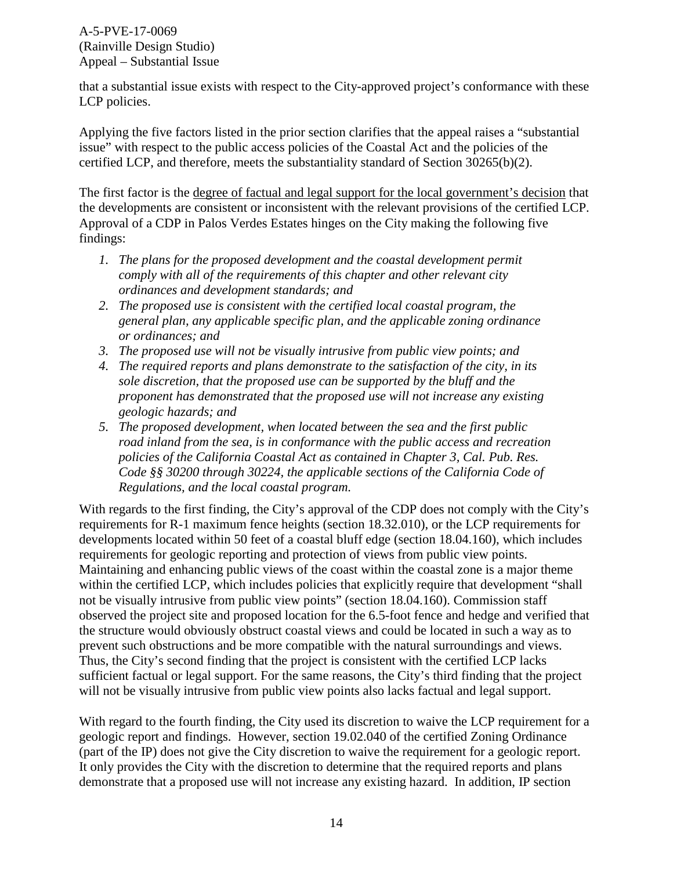that a substantial issue exists with respect to the City-approved project's conformance with these LCP policies.

Applying the five factors listed in the prior section clarifies that the appeal raises a "substantial issue" with respect to the public access policies of the Coastal Act and the policies of the certified LCP, and therefore, meets the substantiality standard of Section 30265(b)(2).

The first factor is the degree of factual and legal support for the local government's decision that the developments are consistent or inconsistent with the relevant provisions of the certified LCP. Approval of a CDP in Palos Verdes Estates hinges on the City making the following five findings:

- *1. The plans for the proposed development and the coastal development permit comply with all of the requirements of this chapter and other relevant city ordinances and development standards; and*
- *2. The proposed use is consistent with the certified local coastal program, the general plan, any applicable specific plan, and the applicable zoning ordinance or ordinances; and*
- *3. The proposed use will not be visually intrusive from public view points; and*
- *4. The required reports and plans demonstrate to the satisfaction of the city, in its sole discretion, that the proposed use can be supported by the bluff and the proponent has demonstrated that the proposed use will not increase any existing geologic hazards; and*
- *5. The proposed development, when located between the sea and the first public road inland from the sea, is in conformance with the public access and recreation policies of the California Coastal Act as contained in Chapter 3, Cal. Pub. Res. Code §§ 30200 through 30224, the applicable sections of the California Code of Regulations, and the local coastal program.*

With regards to the first finding, the City's approval of the CDP does not comply with the City's requirements for R-1 maximum fence heights (section 18.32.010), or the LCP requirements for developments located within 50 feet of a coastal bluff edge (section 18.04.160), which includes requirements for geologic reporting and protection of views from public view points. Maintaining and enhancing public views of the coast within the coastal zone is a major theme within the certified LCP, which includes policies that explicitly require that development "shall not be visually intrusive from public view points" (section 18.04.160). Commission staff observed the project site and proposed location for the 6.5-foot fence and hedge and verified that the structure would obviously obstruct coastal views and could be located in such a way as to prevent such obstructions and be more compatible with the natural surroundings and views. Thus, the City's second finding that the project is consistent with the certified LCP lacks sufficient factual or legal support. For the same reasons, the City's third finding that the project will not be visually intrusive from public view points also lacks factual and legal support.

With regard to the fourth finding, the City used its discretion to waive the LCP requirement for a geologic report and findings. However, section 19.02.040 of the certified Zoning Ordinance (part of the IP) does not give the City discretion to waive the requirement for a geologic report. It only provides the City with the discretion to determine that the required reports and plans demonstrate that a proposed use will not increase any existing hazard. In addition, IP section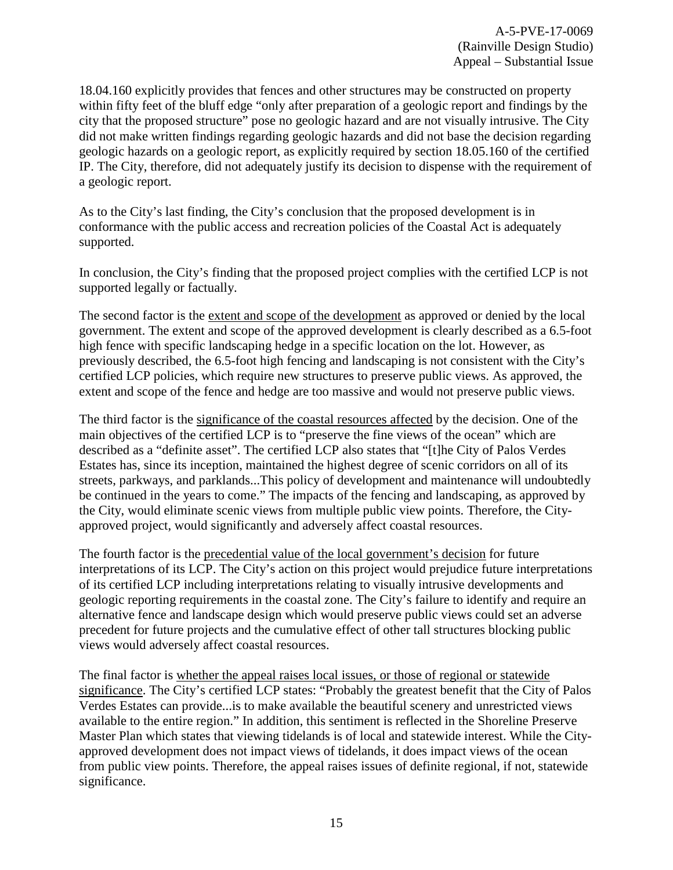18.04.160 explicitly provides that fences and other structures may be constructed on property within fifty feet of the bluff edge "only after preparation of a geologic report and findings by the city that the proposed structure" pose no geologic hazard and are not visually intrusive. The City did not make written findings regarding geologic hazards and did not base the decision regarding geologic hazards on a geologic report, as explicitly required by section 18.05.160 of the certified IP. The City, therefore, did not adequately justify its decision to dispense with the requirement of a geologic report.

As to the City's last finding, the City's conclusion that the proposed development is in conformance with the public access and recreation policies of the Coastal Act is adequately supported.

In conclusion, the City's finding that the proposed project complies with the certified LCP is not supported legally or factually.

The second factor is the extent and scope of the development as approved or denied by the local government. The extent and scope of the approved development is clearly described as a 6.5-foot high fence with specific landscaping hedge in a specific location on the lot. However, as previously described, the 6.5-foot high fencing and landscaping is not consistent with the City's certified LCP policies, which require new structures to preserve public views. As approved, the extent and scope of the fence and hedge are too massive and would not preserve public views.

The third factor is the significance of the coastal resources affected by the decision. One of the main objectives of the certified LCP is to "preserve the fine views of the ocean" which are described as a "definite asset". The certified LCP also states that "[t]he City of Palos Verdes Estates has, since its inception, maintained the highest degree of scenic corridors on all of its streets, parkways, and parklands...This policy of development and maintenance will undoubtedly be continued in the years to come." The impacts of the fencing and landscaping, as approved by the City, would eliminate scenic views from multiple public view points. Therefore, the Cityapproved project, would significantly and adversely affect coastal resources.

The fourth factor is the precedential value of the local government's decision for future interpretations of its LCP. The City's action on this project would prejudice future interpretations of its certified LCP including interpretations relating to visually intrusive developments and geologic reporting requirements in the coastal zone. The City's failure to identify and require an alternative fence and landscape design which would preserve public views could set an adverse precedent for future projects and the cumulative effect of other tall structures blocking public views would adversely affect coastal resources.

The final factor is whether the appeal raises local issues, or those of regional or statewide significance. The City's certified LCP states: "Probably the greatest benefit that the City of Palos Verdes Estates can provide...is to make available the beautiful scenery and unrestricted views available to the entire region." In addition, this sentiment is reflected in the Shoreline Preserve Master Plan which states that viewing tidelands is of local and statewide interest. While the Cityapproved development does not impact views of tidelands, it does impact views of the ocean from public view points. Therefore, the appeal raises issues of definite regional, if not, statewide significance.